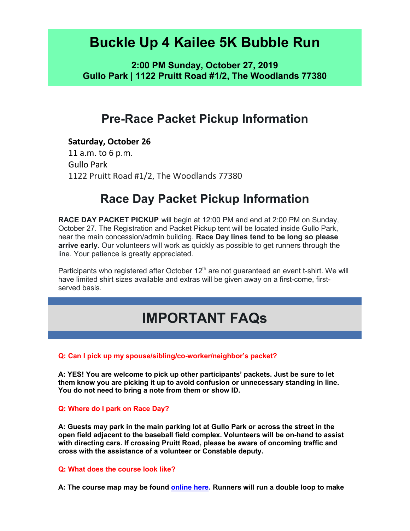## **Buckle Up 4 Kailee 5K Bubble Run**

**2:00 PM Sunday, October 27, 2019 Gullo Park | 1122 Pruitt Road #1/2, The Woodlands 77380**

## **Pre-Race Packet Pickup Information**

### **Saturday, October 26**

11 a.m. to 6 p.m. Gullo Park 1122 Pruitt Road #1/2, The Woodlands 77380

## **Race Day Packet Pickup Information**

**RACE DAY PACKET PICKUP** will begin at 12:00 PM and end at 2:00 PM on Sunday, October 27. The Registration and Packet Pickup tent will be located inside Gullo Park, near the main concession/admin building. **Race Day lines tend to be long so please arrive early.** Our volunteers will work as quickly as possible to get runners through the line. Your patience is greatly appreciated.

Participants who registered after October  $12<sup>th</sup>$  are not guaranteed an event t-shirt. We will have limited shirt sizes available and extras will be given away on a first-come, firstserved basis.

# **IMPORTANT FAQs**

### **Q: Can I pick up my spouse/sibling/co-worker/neighbor's packet?**

**A: YES! You are welcome to pick up other participants' packets. Just be sure to let them know you are picking it up to avoid confusion or unnecessary standing in line. You do not need to bring a note from them or show ID.**

**Q: Where do I park on Race Day?**

**A: Guests may park in the main parking lot at Gullo Park or across the street in the open field adjacent to the baseball field complex. Volunteers will be on-hand to assist with directing cars. If crossing Pruitt Road, please be aware of oncoming traffic and cross with the assistance of a volunteer or Constable deputy.** 

### **Q: What does the course look like?**

**A: The course map may be found [online here.](http://iyrwebstorage.blob.core.windows.net/events/11494/Gullo%202.png) Runners will run a double loop to make**